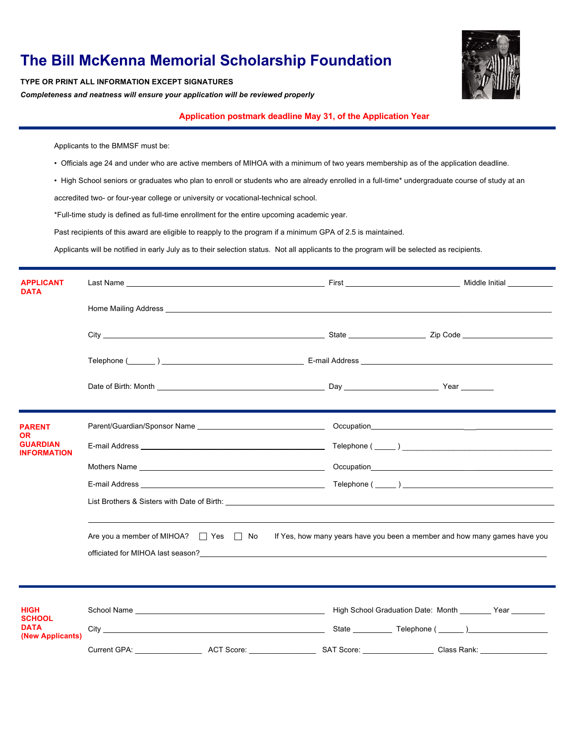## **The Bill McKenna Memorial Scholarship Foundation** TYPE OR PRINT ALL INFORMATION EXCEPT SIGNATURES

*Completeness and neatness will ensure your application will be reviewed properly*

**Application postmark deadline May 31, of the Application Year**

Applicants to the BMMSF must be:

- Officials age 24 and under who are active members of MIHOA with a minimum of two years membership as of the application deadline.
- High School seniors or graduates who plan to enroll or students who are already enrolled in a full-time\* undergraduate course of study at an accredited two- or four-year college or university or vocational-technical school.

\*Full-time study is defined as full-time enrollment for the entire upcoming academic year.

Past recipients of this award are eligible to reapply to the program if a minimum GPA of 2.5 is maintained.

Applicants will be notified in early July as to their selection status. Not all applicants to the program will be selected as recipients.

| <b>APPLICANT</b><br><b>DATA</b>                                 |                                                                                                                           |                                                            |                       |  |
|-----------------------------------------------------------------|---------------------------------------------------------------------------------------------------------------------------|------------------------------------------------------------|-----------------------|--|
|                                                                 |                                                                                                                           |                                                            |                       |  |
|                                                                 |                                                                                                                           |                                                            |                       |  |
|                                                                 |                                                                                                                           |                                                            |                       |  |
|                                                                 |                                                                                                                           |                                                            |                       |  |
| <b>PARENT</b><br>OR.                                            |                                                                                                                           |                                                            |                       |  |
| <b>GUARDIAN</b><br>INFORMATION                                  |                                                                                                                           |                                                            |                       |  |
|                                                                 |                                                                                                                           |                                                            |                       |  |
|                                                                 |                                                                                                                           |                                                            |                       |  |
|                                                                 |                                                                                                                           |                                                            |                       |  |
|                                                                 | Are you a member of MIHOA? $\Box$ Yes $\Box$ No If Yes, how many years have you been a member and how many games have you |                                                            |                       |  |
|                                                                 |                                                                                                                           |                                                            |                       |  |
| <b>HIGH</b><br><b>SCHOOL</b><br><b>DATA</b><br>(New Applicants) |                                                                                                                           |                                                            |                       |  |
|                                                                 |                                                                                                                           |                                                            |                       |  |
|                                                                 | ACT Score:<br>Current GPA:                                                                                                | SAT Score:<br>the control of the control of the control of | Class Rank: _________ |  |